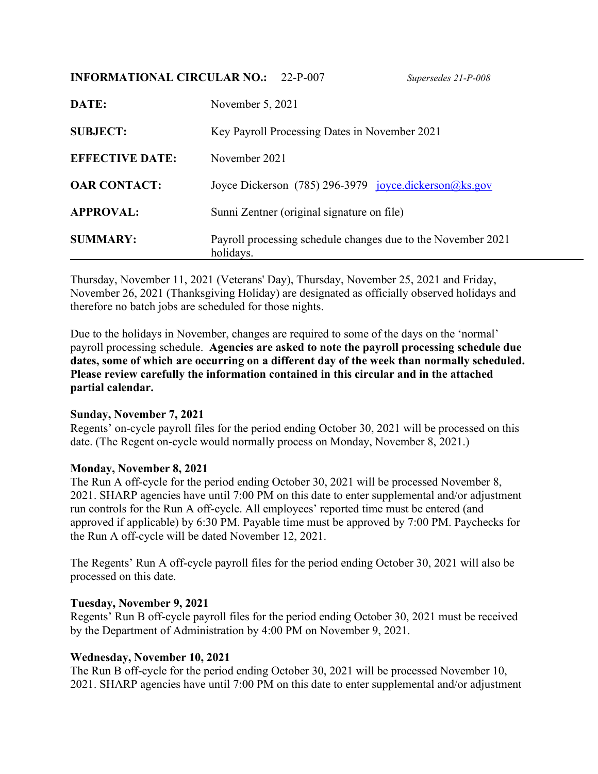## **INFORMATIONAL CIRCULAR NO.:** 22-P-007 *Supersedes 21-P-008*

| DATE:                  | November 5, 2021                                                          |
|------------------------|---------------------------------------------------------------------------|
| <b>SUBJECT:</b>        | Key Payroll Processing Dates in November 2021                             |
| <b>EFFECTIVE DATE:</b> | November 2021                                                             |
| <b>OAR CONTACT:</b>    | Joyce Dickerson (785) 296-3979 joyce.dickerson@ks.gov                     |
| <b>APPROVAL:</b>       | Sunni Zentner (original signature on file)                                |
| <b>SUMMARY:</b>        | Payroll processing schedule changes due to the November 2021<br>holidays. |

Thursday, November 11, 2021 (Veterans' Day), Thursday, November 25, 2021 and Friday, November 26, 2021 (Thanksgiving Holiday) are designated as officially observed holidays and therefore no batch jobs are scheduled for those nights.

Due to the holidays in November, changes are required to some of the days on the 'normal' payroll processing schedule. **Agencies are asked to note the payroll processing schedule due dates, some of which are occurring on a different day of the week than normally scheduled. Please review carefully the information contained in this circular and in the attached partial calendar.**

# **Sunday, November 7, 2021**

Regents' on-cycle payroll files for the period ending October 30, 2021 will be processed on this date. (The Regent on-cycle would normally process on Monday, November 8, 2021.)

### **Monday, November 8, 2021**

The Run A off-cycle for the period ending October 30, 2021 will be processed November 8, 2021. SHARP agencies have until 7:00 PM on this date to enter supplemental and/or adjustment run controls for the Run A off-cycle. All employees' reported time must be entered (and approved if applicable) by 6:30 PM. Payable time must be approved by 7:00 PM. Paychecks for the Run A off-cycle will be dated November 12, 2021.

The Regents' Run A off-cycle payroll files for the period ending October 30, 2021 will also be processed on this date.

### **Tuesday, November 9, 2021**

Regents' Run B off-cycle payroll files for the period ending October 30, 2021 must be received by the Department of Administration by 4:00 PM on November 9, 2021.

### **Wednesday, November 10, 2021**

The Run B off-cycle for the period ending October 30, 2021 will be processed November 10, 2021. SHARP agencies have until 7:00 PM on this date to enter supplemental and/or adjustment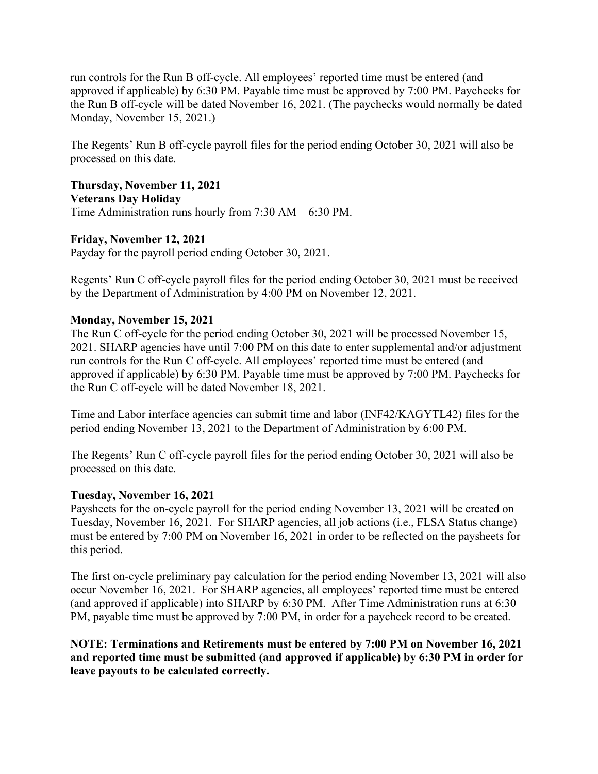run controls for the Run B off-cycle. All employees' reported time must be entered (and approved if applicable) by 6:30 PM. Payable time must be approved by 7:00 PM. Paychecks for the Run B off-cycle will be dated November 16, 2021. (The paychecks would normally be dated Monday, November 15, 2021.)

The Regents' Run B off-cycle payroll files for the period ending October 30, 2021 will also be processed on this date.

**Thursday, November 11, 2021 Veterans Day Holiday** Time Administration runs hourly from 7:30 AM – 6:30 PM.

## **Friday, November 12, 2021**

Payday for the payroll period ending October 30, 2021.

Regents' Run C off-cycle payroll files for the period ending October 30, 2021 must be received by the Department of Administration by 4:00 PM on November 12, 2021.

### **Monday, November 15, 2021**

The Run C off-cycle for the period ending October 30, 2021 will be processed November 15, 2021. SHARP agencies have until 7:00 PM on this date to enter supplemental and/or adjustment run controls for the Run C off-cycle. All employees' reported time must be entered (and approved if applicable) by 6:30 PM. Payable time must be approved by 7:00 PM. Paychecks for the Run C off-cycle will be dated November 18, 2021.

Time and Labor interface agencies can submit time and labor (INF42/KAGYTL42) files for the period ending November 13, 2021 to the Department of Administration by 6:00 PM.

The Regents' Run C off-cycle payroll files for the period ending October 30, 2021 will also be processed on this date.

## **Tuesday, November 16, 2021**

Paysheets for the on-cycle payroll for the period ending November 13, 2021 will be created on Tuesday, November 16, 2021. For SHARP agencies, all job actions (i.e., FLSA Status change) must be entered by 7:00 PM on November 16, 2021 in order to be reflected on the paysheets for this period.

The first on-cycle preliminary pay calculation for the period ending November 13, 2021 will also occur November 16, 2021. For SHARP agencies, all employees' reported time must be entered (and approved if applicable) into SHARP by 6:30 PM. After Time Administration runs at 6:30 PM, payable time must be approved by 7:00 PM, in order for a paycheck record to be created.

**NOTE: Terminations and Retirements must be entered by 7:00 PM on November 16, 2021 and reported time must be submitted (and approved if applicable) by 6:30 PM in order for leave payouts to be calculated correctly.**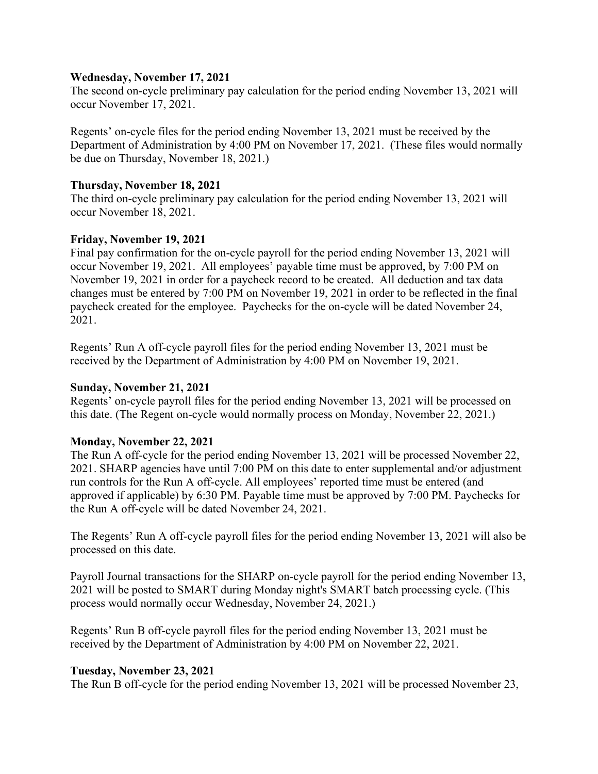### **Wednesday, November 17, 2021**

The second on-cycle preliminary pay calculation for the period ending November 13, 2021 will occur November 17, 2021.

Regents' on-cycle files for the period ending November 13, 2021 must be received by the Department of Administration by 4:00 PM on November 17, 2021. (These files would normally be due on Thursday, November 18, 2021.)

#### **Thursday, November 18, 2021**

The third on-cycle preliminary pay calculation for the period ending November 13, 2021 will occur November 18, 2021.

### **Friday, November 19, 2021**

Final pay confirmation for the on-cycle payroll for the period ending November 13, 2021 will occur November 19, 2021. All employees' payable time must be approved, by 7:00 PM on November 19, 2021 in order for a paycheck record to be created. All deduction and tax data changes must be entered by 7:00 PM on November 19, 2021 in order to be reflected in the final paycheck created for the employee. Paychecks for the on-cycle will be dated November 24, 2021.

Regents' Run A off-cycle payroll files for the period ending November 13, 2021 must be received by the Department of Administration by 4:00 PM on November 19, 2021.

#### **Sunday, November 21, 2021**

Regents' on-cycle payroll files for the period ending November 13, 2021 will be processed on this date. (The Regent on-cycle would normally process on Monday, November 22, 2021.)

### **Monday, November 22, 2021**

The Run A off-cycle for the period ending November 13, 2021 will be processed November 22, 2021. SHARP agencies have until 7:00 PM on this date to enter supplemental and/or adjustment run controls for the Run A off-cycle. All employees' reported time must be entered (and approved if applicable) by 6:30 PM. Payable time must be approved by 7:00 PM. Paychecks for the Run A off-cycle will be dated November 24, 2021.

The Regents' Run A off-cycle payroll files for the period ending November 13, 2021 will also be processed on this date.

Payroll Journal transactions for the SHARP on-cycle payroll for the period ending November 13, 2021 will be posted to SMART during Monday night's SMART batch processing cycle. (This process would normally occur Wednesday, November 24, 2021.)

Regents' Run B off-cycle payroll files for the period ending November 13, 2021 must be received by the Department of Administration by 4:00 PM on November 22, 2021.

### **Tuesday, November 23, 2021**

The Run B off-cycle for the period ending November 13, 2021 will be processed November 23,